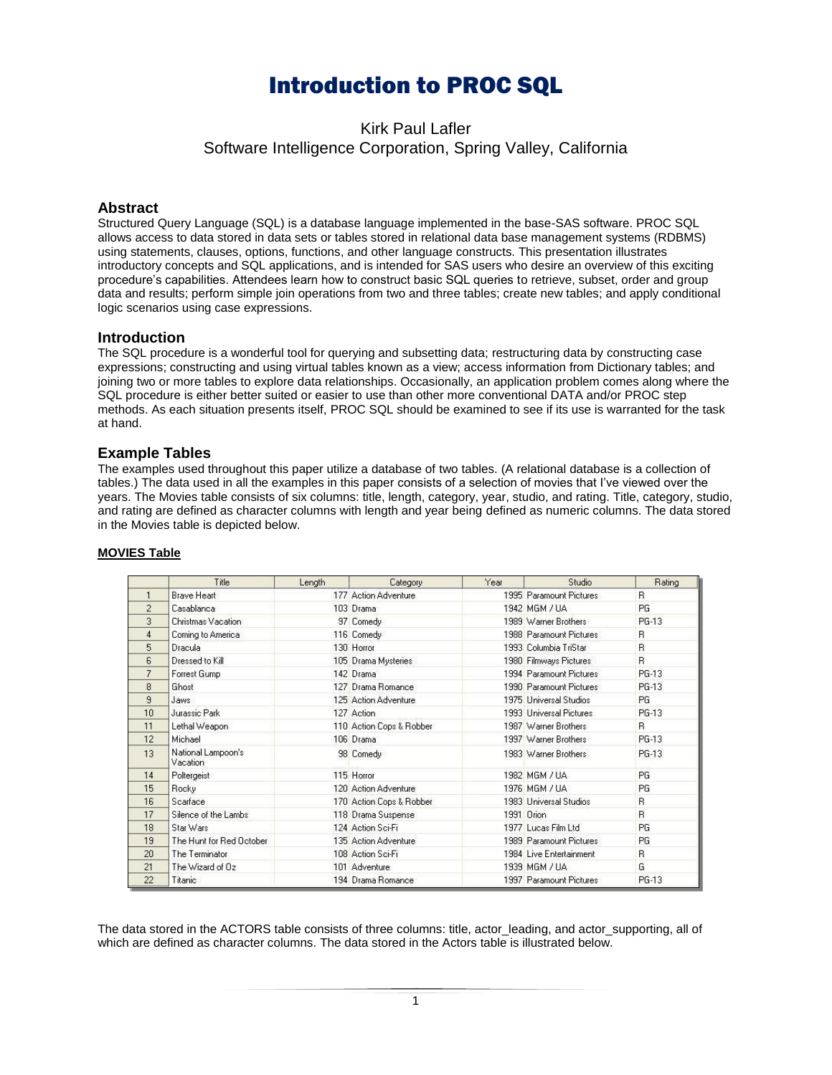# Introduction to PROC SQL

Kirk Paul Lafler Software Intelligence Corporation, Spring Valley, California

# **Abstract**

Structured Query Language (SQL) is a database language implemented in the base-SAS software. PROC SQL allows access to data stored in data sets or tables stored in relational data base management systems (RDBMS) using statements, clauses, options, functions, and other language constructs. This presentation illustrates introductory concepts and SQL applications, and is intended for SAS users who desire an overview of this exciting procedure's capabilities. Attendees learn how to construct basic SQL queries to retrieve, subset, order and group data and results; perform simple join operations from two and three tables; create new tables; and apply conditional logic scenarios using case expressions.

## **Introduction**

The SQL procedure is a wonderful tool for querying and subsetting data; restructuring data by constructing case expressions; constructing and using virtual tables known as a view; access information from Dictionary tables; and joining two or more tables to explore data relationships. Occasionally, an application problem comes along where the SQL procedure is either better suited or easier to use than other more conventional DATA and/or PROC step methods. As each situation presents itself, PROC SQL should be examined to see if its use is warranted for the task at hand.

# **Example Tables**

The examples used throughout this paper utilize a database of two tables. (A relational database is a collection of tables.) The data used in all the examples in this paper consists of a selection of movies that I've viewed over the years. The Movies table consists of six columns: title, length, category, year, studio, and rating. Title, category, studio, and rating are defined as character columns with length and year being defined as numeric columns. The data stored in the Movies table is depicted below.

|                | Title                          | Length | Category                  | Year | Studio                  | Rating    |
|----------------|--------------------------------|--------|---------------------------|------|-------------------------|-----------|
|                | Brave Heart                    |        | 177 Action Adventure      |      | 1995 Paramount Pictures | B.        |
| $\overline{2}$ | Casablanca                     |        | 103 Drama                 |      | 1942 MGM / UA           | <b>PG</b> |
| 3              | Christmas Vacation             |        | 97 Comedy                 |      | 1989 Warner Brothers    | PG-13     |
| 4              | Coming to America              |        | 116 Comedy                |      | 1988 Paramount Pictures | B.        |
| 5              | Dracula                        |        | 130 Horror                |      | 1993 Columbia TriStar   | B.        |
| 6              | Dressed to Kill                |        | 105 Drama Mysteries       |      | 1980 Filmways Pictures  | B.        |
| 7              | Forrest Gump                   |        | 142 Drama                 |      | 1994 Paramount Pictures | PG-13     |
| 8              | Ghost                          |        | 127 Drama Romance         |      | 1990 Paramount Pictures | PG-13     |
| 9              | Jaws.                          |        | 125 Action Adventure      |      | 1975 Universal Studios  | <b>PG</b> |
| 10             | Jurassic Park                  |        | 127 Action                |      | 1993 Universal Pictures | PG-13     |
| 11             | Lethal Weapon                  |        | 110 Action Cops & Robber  |      | 1987 Warner Brothers    | B.        |
| 12             | Michael                        |        | 106 Drama                 |      | 1997 Warner Brothers    | PG-13     |
| 13             | National Lampoon's<br>Vacation |        | 98 Comedy                 |      | 1983 Warner Brothers    | PG-13     |
| 14             | Poltergeist                    |        | 115 Horror                |      | 1982 MGM / UA           | PG.       |
| 15             | Rocky                          |        | 120 Action Adventure      |      | 1976 MGM / UA           | PG        |
| 16             | Scarface                       |        | 170 Action Cops & Robber. |      | 1983 Universal Studios  | B.        |
| 17             | Silence of the Lambs           |        | 118 Drama Suspense        |      | 1991 Orion              | B.        |
| 18             | Star Wars                      |        | 124 Action Sci-Fi         |      | 1977 Lucas Film Ltd     | PG        |
| 19             | The Hunt for Red October       |        | 135 Action Adventure      |      | 1989 Paramount Pictures | PG.       |
| 20             | The Terminator                 |        | 108 Action Sci-Fi         |      | 1984 Live Entertainment | R         |
| 21             | The Wizard of Oz               |        | 101 Adventure             |      | 1939 MGM / UA           | G         |
| 22             | Titanic                        |        | 194 Drama Romance         |      | 1997 Paramount Pictures | PG-13     |

#### **MOVIES Table**

The data stored in the ACTORS table consists of three columns: title, actor\_leading, and actor\_supporting, all of which are defined as character columns. The data stored in the Actors table is illustrated below.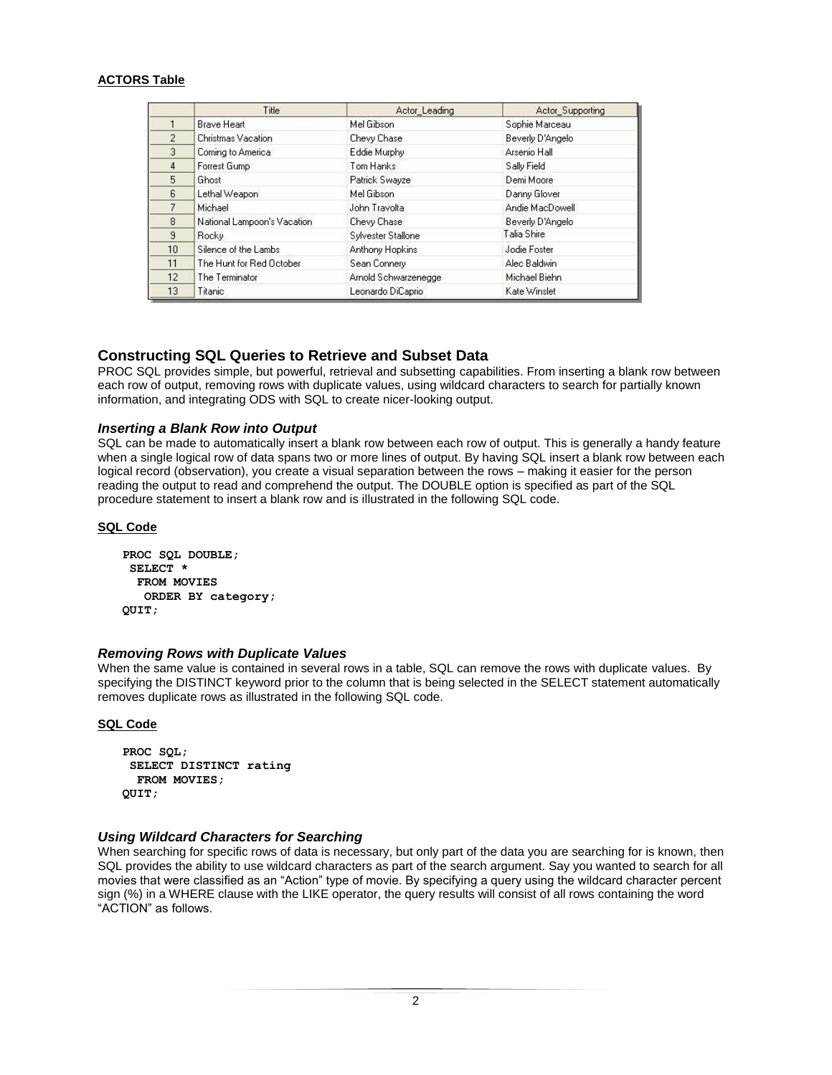# **ACTORS Table**

|                 | Title                       | Actor Leading        | Actor Supporting |
|-----------------|-----------------------------|----------------------|------------------|
|                 | <b>Brave Heart</b>          | Mel Gibson           | Sophie Marceau   |
| $\overline{2}$  | Christmas Vacation          | Chevy Chase          | Beverly D'Angelo |
| 3               | Coming to America           | Eddie Murphy         | Arsenio Hall     |
| 4               | Forrest Gump                | Tom Hanks            | Sally Field      |
| 5               | Ghost                       | Patrick Swayze       | Demi Moore       |
| 6               | Lethal Weapon               | Mel Gibson           | Danny Glover     |
| $\overline{7}$  | Michael                     | John Travolta        | Andie MacDowell  |
| 8               | National Lampoon's Vacation | Chevy Chase          | Beverly D'Angelo |
| $\overline{a}$  | <b>Rocky</b>                | Sylvester Stallone   | Talia Shire      |
| 10 <sup>1</sup> | Silence of the Lambs        | Anthony Hopkins      | Jodie Foster     |
| 11              | The Hunt for Red October    | Sean Connery         | Alec Baldwin     |
| 12 <sub>2</sub> | The Terminator              | Arnold Schwarzenegge | Michael Biehn    |
| 13              | Titanic                     | Leonardo DiCaprio    | Kate Winslet     |

# **Constructing SQL Queries to Retrieve and Subset Data**

PROC SQL provides simple, but powerful, retrieval and subsetting capabilities. From inserting a blank row between each row of output, removing rows with duplicate values, using wildcard characters to search for partially known information, and integrating ODS with SQL to create nicer-looking output.

## *Inserting a Blank Row into Output*

SQL can be made to automatically insert a blank row between each row of output. This is generally a handy feature when a single logical row of data spans two or more lines of output. By having SQL insert a blank row between each logical record (observation), you create a visual separation between the rows – making it easier for the person reading the output to read and comprehend the output. The DOUBLE option is specified as part of the SQL procedure statement to insert a blank row and is illustrated in the following SQL code.

#### **SQL Code**

```
PROC SQL DOUBLE;
SELECT *
  FROM MOVIES
   ORDER BY category;
QUIT;
```
#### *Removing Rows with Duplicate Values*

When the same value is contained in several rows in a table, SQL can remove the rows with duplicate values. By specifying the DISTINCT keyword prior to the column that is being selected in the SELECT statement automatically removes duplicate rows as illustrated in the following SQL code.

#### **SQL Code**

```
PROC SQL;
 SELECT DISTINCT rating
  FROM MOVIES;
QUIT;
```
# *Using Wildcard Characters for Searching*

When searching for specific rows of data is necessary, but only part of the data you are searching for is known, then SQL provides the ability to use wildcard characters as part of the search argument. Say you wanted to search for all movies that were classified as an "Action" type of movie. By specifying a query using the wildcard character percent sign (%) in a WHERE clause with the LIKE operator, the query results will consist of all rows containing the word "ACTION" as follows.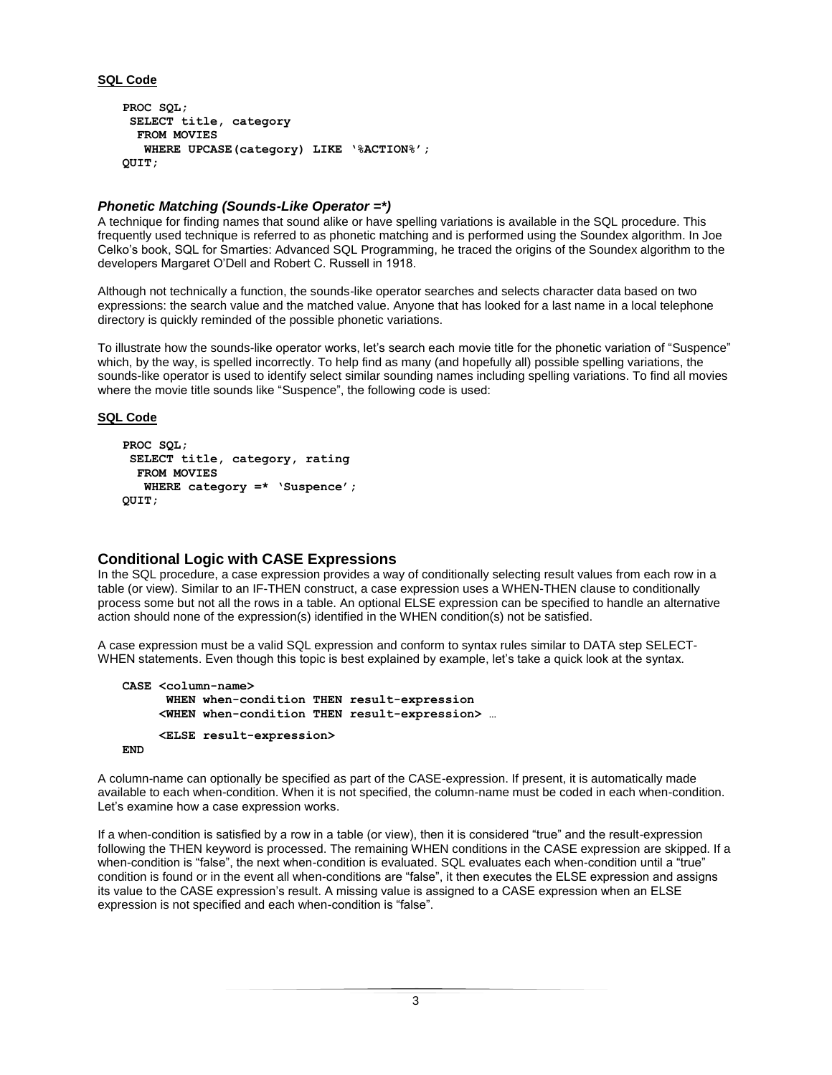## **SQL Code**

```
PROC SQL;
 SELECT title, category
   FROM MOVIES
   WHERE UPCASE(category) LIKE '%ACTION%';
QUIT;
```
# *Phonetic Matching (Sounds-Like Operator =\*)*

A technique for finding names that sound alike or have spelling variations is available in the SQL procedure. This frequently used technique is referred to as phonetic matching and is performed using the Soundex algorithm. In Joe Celko's book, SQL for Smarties: Advanced SQL Programming, he traced the origins of the Soundex algorithm to the developers Margaret O'Dell and Robert C. Russell in 1918.

Although not technically a function, the sounds-like operator searches and selects character data based on two expressions: the search value and the matched value. Anyone that has looked for a last name in a local telephone directory is quickly reminded of the possible phonetic variations.

To illustrate how the sounds-like operator works, let's search each movie title for the phonetic variation of "Suspence" which, by the way, is spelled incorrectly. To help find as many (and hopefully all) possible spelling variations, the sounds-like operator is used to identify select similar sounding names including spelling variations. To find all movies where the movie title sounds like "Suspence", the following code is used:

#### **SQL Code**

```
PROC SQL;
 SELECT title, category, rating
   FROM MOVIES
   WHERE category =* 'Suspence';
QUIT;
```
# **Conditional Logic with CASE Expressions**

In the SQL procedure, a case expression provides a way of conditionally selecting result values from each row in a table (or view). Similar to an IF-THEN construct, a case expression uses a WHEN-THEN clause to conditionally process some but not all the rows in a table. An optional ELSE expression can be specified to handle an alternative action should none of the expression(s) identified in the WHEN condition(s) not be satisfied.

A case expression must be a valid SQL expression and conform to syntax rules similar to DATA step SELECT-WHEN statements. Even though this topic is best explained by example, let's take a quick look at the syntax.

```
CASE <column-name>
      WHEN when-condition THEN result-expression
      <WHEN when-condition THEN result-expression> …
      <ELSE result-expression>
END
```
A column-name can optionally be specified as part of the CASE-expression. If present, it is automatically made available to each when-condition. When it is not specified, the column-name must be coded in each when-condition. Let's examine how a case expression works.

If a when-condition is satisfied by a row in a table (or view), then it is considered "true" and the result-expression following the THEN keyword is processed. The remaining WHEN conditions in the CASE expression are skipped. If a when-condition is "false", the next when-condition is evaluated. SQL evaluates each when-condition until a "true" condition is found or in the event all when-conditions are "false", it then executes the ELSE expression and assigns its value to the CASE expression's result. A missing value is assigned to a CASE expression when an ELSE expression is not specified and each when-condition is "false".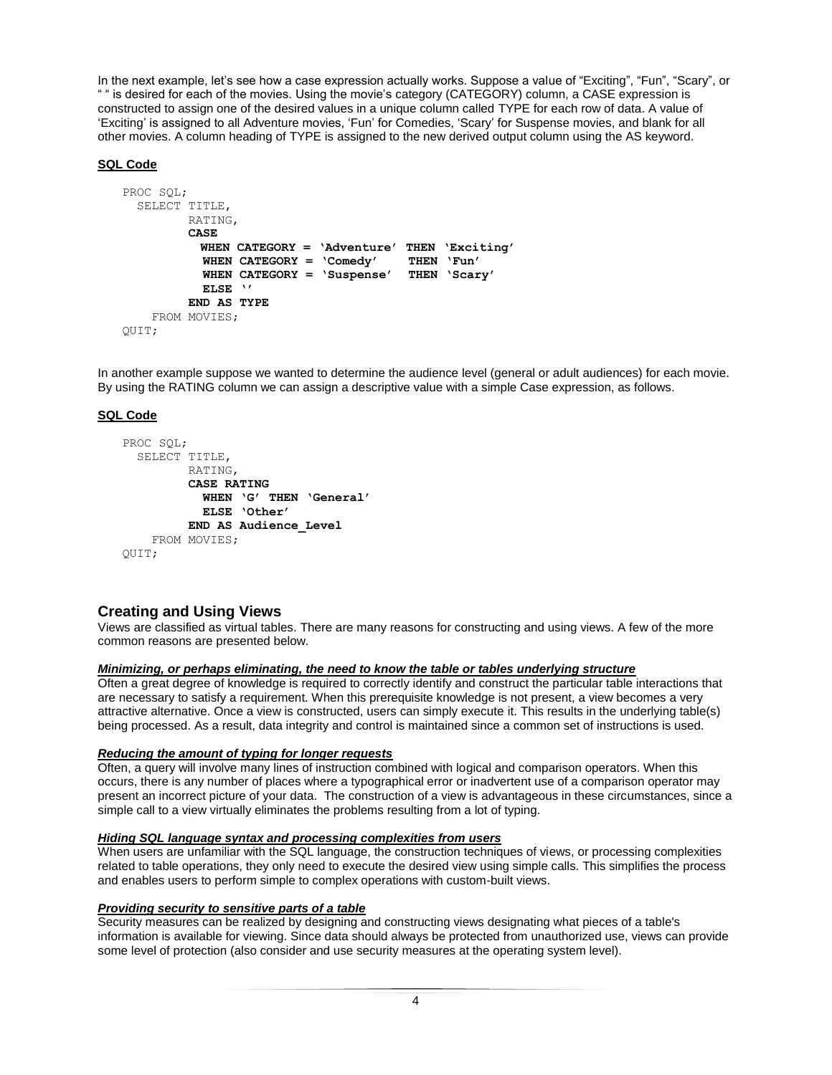In the next example, let's see how a case expression actually works. Suppose a value of "Exciting", "Fun", "Scary", or " " is desired for each of the movies. Using the movie's category (CATEGORY) column, a CASE expression is constructed to assign one of the desired values in a unique column called TYPE for each row of data. A value of 'Exciting' is assigned to all Adventure movies, 'Fun' for Comedies, 'Scary' for Suspense movies, and blank for all other movies. A column heading of TYPE is assigned to the new derived output column using the AS keyword.

# **SQL Code**

```
PROC SQL;
  SELECT TITLE,
          RATING,
          CASE
            WHEN CATEGORY = 'Adventure' THEN 'Exciting'
            WHEN CATEGORY = 'Comedy' THEN 'Fun'
            WHEN CATEGORY = 'Suspense' THEN 'Scary'
            ELSE ''
          END AS TYPE
     FROM MOVIES;
QUIT;
```
In another example suppose we wanted to determine the audience level (general or adult audiences) for each movie. By using the RATING column we can assign a descriptive value with a simple Case expression, as follows.

# **SQL Code**

```
PROC SQL;
  SELECT TITLE,
          RATING,
          CASE RATING
            WHEN 'G' THEN 'General'
            ELSE 'Other'
          END AS Audience_Level
     FROM MOVIES;
O
```
# **Creating and Using Views**

Views are classified as virtual tables. There are many reasons for constructing and using views. A few of the more common reasons are presented below.

#### *Minimizing, or perhaps eliminating, the need to know the table or tables underlying structure*

Often a great degree of knowledge is required to correctly identify and construct the particular table interactions that are necessary to satisfy a requirement. When this prerequisite knowledge is not present, a view becomes a very attractive alternative. Once a view is constructed, users can simply execute it. This results in the underlying table(s) being processed. As a result, data integrity and control is maintained since a common set of instructions is used.

## *Reducing the amount of typing for longer requests*

Often, a query will involve many lines of instruction combined with logical and comparison operators. When this occurs, there is any number of places where a typographical error or inadvertent use of a comparison operator may present an incorrect picture of your data. The construction of a view is advantageous in these circumstances, since a simple call to a view virtually eliminates the problems resulting from a lot of typing.

#### *Hiding SQL language syntax and processing complexities from users*

When users are unfamiliar with the SQL language, the construction techniques of views, or processing complexities related to table operations, they only need to execute the desired view using simple calls. This simplifies the process and enables users to perform simple to complex operations with custom-built views.

#### *Providing security to sensitive parts of a table*

Security measures can be realized by designing and constructing views designating what pieces of a table's information is available for viewing. Since data should always be protected from unauthorized use, views can provide some level of protection (also consider and use security measures at the operating system level).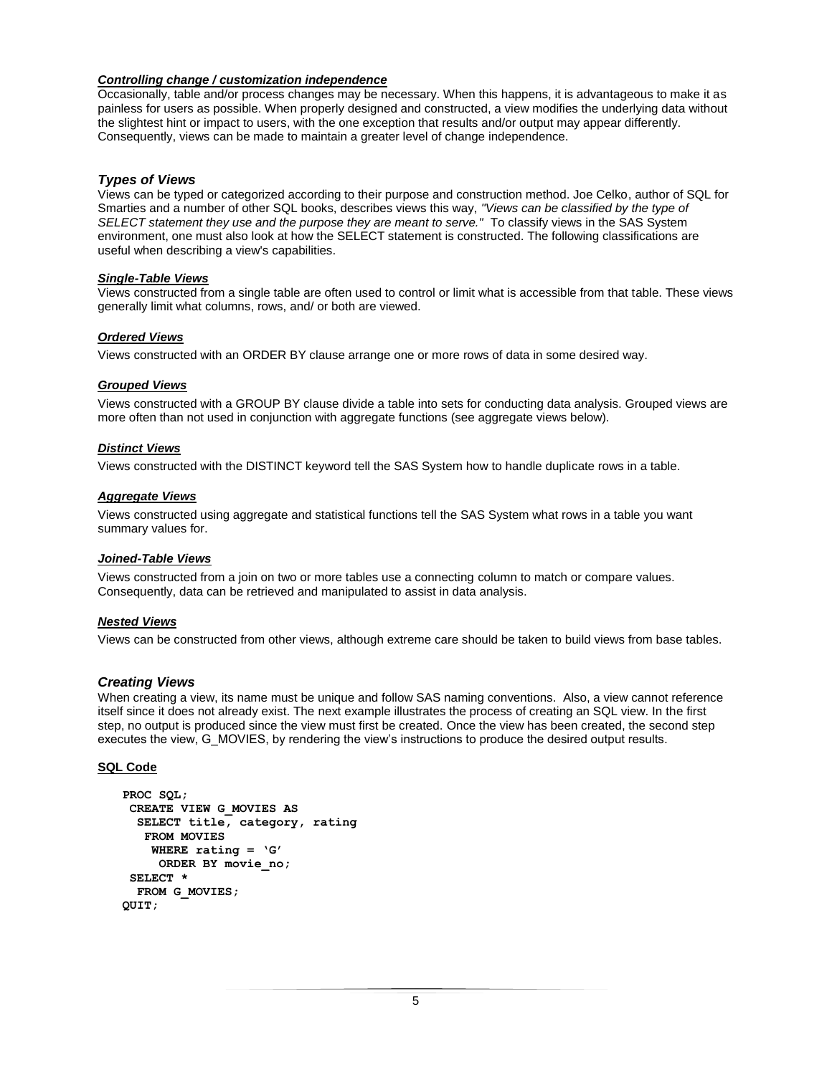# *Controlling change / customization independence*

Occasionally, table and/or process changes may be necessary. When this happens, it is advantageous to make it as painless for users as possible. When properly designed and constructed, a view modifies the underlying data without the slightest hint or impact to users, with the one exception that results and/or output may appear differently. Consequently, views can be made to maintain a greater level of change independence.

## *Types of Views*

Views can be typed or categorized according to their purpose and construction method. Joe Celko, author of SQL for Smarties and a number of other SQL books, describes views this way, *"Views can be classified by the type of SELECT statement they use and the purpose they are meant to serve."* To classify views in the SAS System environment, one must also look at how the SELECT statement is constructed. The following classifications are useful when describing a view's capabilities.

#### *Single-Table Views*

Views constructed from a single table are often used to control or limit what is accessible from that table. These views generally limit what columns, rows, and/ or both are viewed.

## *Ordered Views*

Views constructed with an ORDER BY clause arrange one or more rows of data in some desired way.

## *Grouped Views*

Views constructed with a GROUP BY clause divide a table into sets for conducting data analysis. Grouped views are more often than not used in conjunction with aggregate functions (see aggregate views below).

## *Distinct Views*

Views constructed with the DISTINCT keyword tell the SAS System how to handle duplicate rows in a table.

#### *Aggregate Views*

Views constructed using aggregate and statistical functions tell the SAS System what rows in a table you want summary values for.

#### *Joined-Table Views*

Views constructed from a join on two or more tables use a connecting column to match or compare values. Consequently, data can be retrieved and manipulated to assist in data analysis.

#### *Nested Views*

Views can be constructed from other views, although extreme care should be taken to build views from base tables.

#### *Creating Views*

When creating a view, its name must be unique and follow SAS naming conventions. Also, a view cannot reference itself since it does not already exist. The next example illustrates the process of creating an SQL view. In the first step, no output is produced since the view must first be created. Once the view has been created, the second step executes the view, G\_MOVIES, by rendering the view's instructions to produce the desired output results.

#### **SQL Code**

```
PROC SQL;
CREATE VIEW G_MOVIES AS
  SELECT title, category, rating
   FROM MOVIES
    WHERE rating = 'G'
     ORDER BY movie_no;
 SELECT *
  FROM G_MOVIES;
QUIT;
```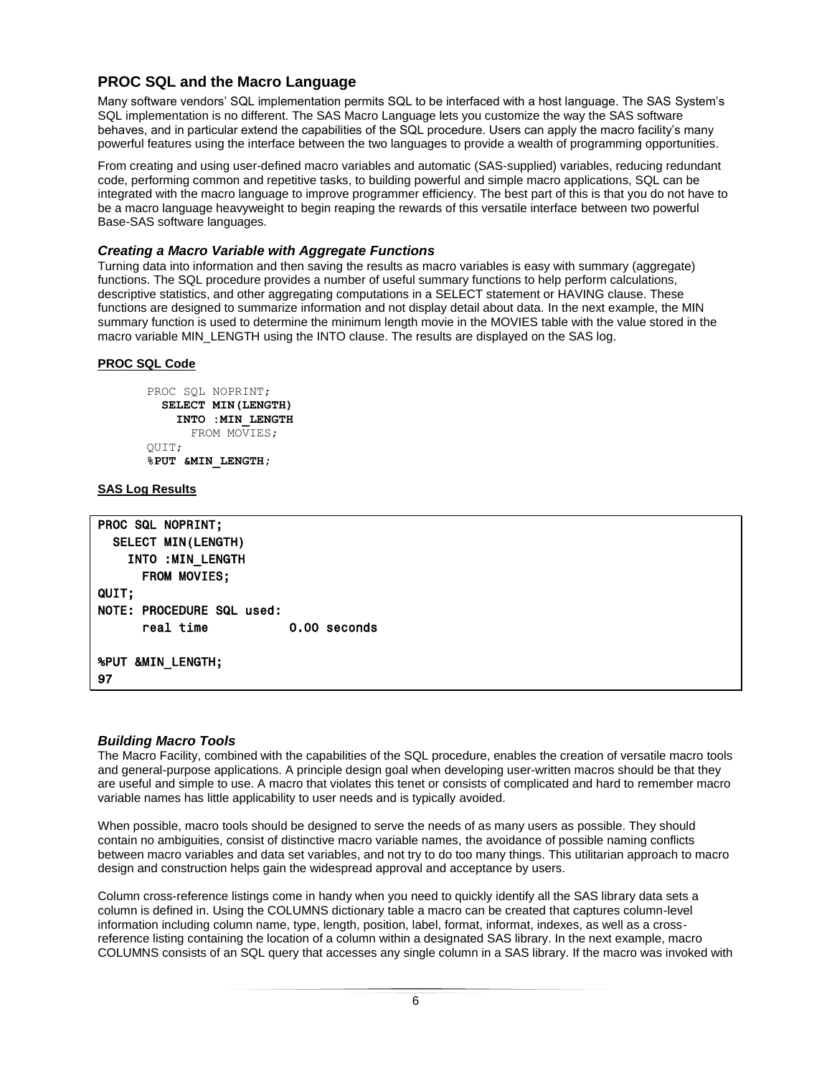# **PROC SQL and the Macro Language**

Many software vendors' SQL implementation permits SQL to be interfaced with a host language. The SAS System's SQL implementation is no different. The SAS Macro Language lets you customize the way the SAS software behaves, and in particular extend the capabilities of the SQL procedure. Users can apply the macro facility's many powerful features using the interface between the two languages to provide a wealth of programming opportunities.

From creating and using user-defined macro variables and automatic (SAS-supplied) variables, reducing redundant code, performing common and repetitive tasks, to building powerful and simple macro applications, SQL can be integrated with the macro language to improve programmer efficiency. The best part of this is that you do not have to be a macro language heavyweight to begin reaping the rewards of this versatile interface between two powerful Base-SAS software languages.

# *Creating a Macro Variable with Aggregate Functions*

Turning data into information and then saving the results as macro variables is easy with summary (aggregate) functions. The SQL procedure provides a number of useful summary functions to help perform calculations, descriptive statistics, and other aggregating computations in a SELECT statement or HAVING clause. These functions are designed to summarize information and not display detail about data. In the next example, the MIN summary function is used to determine the minimum length movie in the MOVIES table with the value stored in the macro variable MIN\_LENGTH using the INTO clause. The results are displayed on the SAS log.

# **PROC SQL Code**

PROC SQL NOPRINT;  **SELECT MIN(LENGTH) INTO :MIN\_LENGTH** FROM MOVIES; QUIT; **%PUT &MIN\_LENGTH;**

## **SAS Log Results**

| <b>PROC SQL NOPRINT:</b>     |              |  |  |  |  |
|------------------------------|--------------|--|--|--|--|
| <b>SELECT MIN(LENGTH)</b>    |              |  |  |  |  |
| INTO : MIN_LENGTH            |              |  |  |  |  |
| <b>FROM MOVIES;</b>          |              |  |  |  |  |
| <b>QUIT:</b>                 |              |  |  |  |  |
| NOTE: PROCEDURE SOL used:    |              |  |  |  |  |
| real time                    | 0.00 seconds |  |  |  |  |
| <b>%PUT &amp;MIN LENGTH;</b> |              |  |  |  |  |
| 97                           |              |  |  |  |  |

#### *Building Macro Tools*

The Macro Facility, combined with the capabilities of the SQL procedure, enables the creation of versatile macro tools and general-purpose applications. A principle design goal when developing user-written macros should be that they are useful and simple to use. A macro that violates this tenet or consists of complicated and hard to remember macro variable names has little applicability to user needs and is typically avoided.

When possible, macro tools should be designed to serve the needs of as many users as possible. They should contain no ambiguities, consist of distinctive macro variable names, the avoidance of possible naming conflicts between macro variables and data set variables, and not try to do too many things. This utilitarian approach to macro design and construction helps gain the widespread approval and acceptance by users.

Column cross-reference listings come in handy when you need to quickly identify all the SAS library data sets a column is defined in. Using the COLUMNS dictionary table a macro can be created that captures column-level information including column name, type, length, position, label, format, informat, indexes, as well as a crossreference listing containing the location of a column within a designated SAS library. In the next example, macro COLUMNS consists of an SQL query that accesses any single column in a SAS library. If the macro was invoked with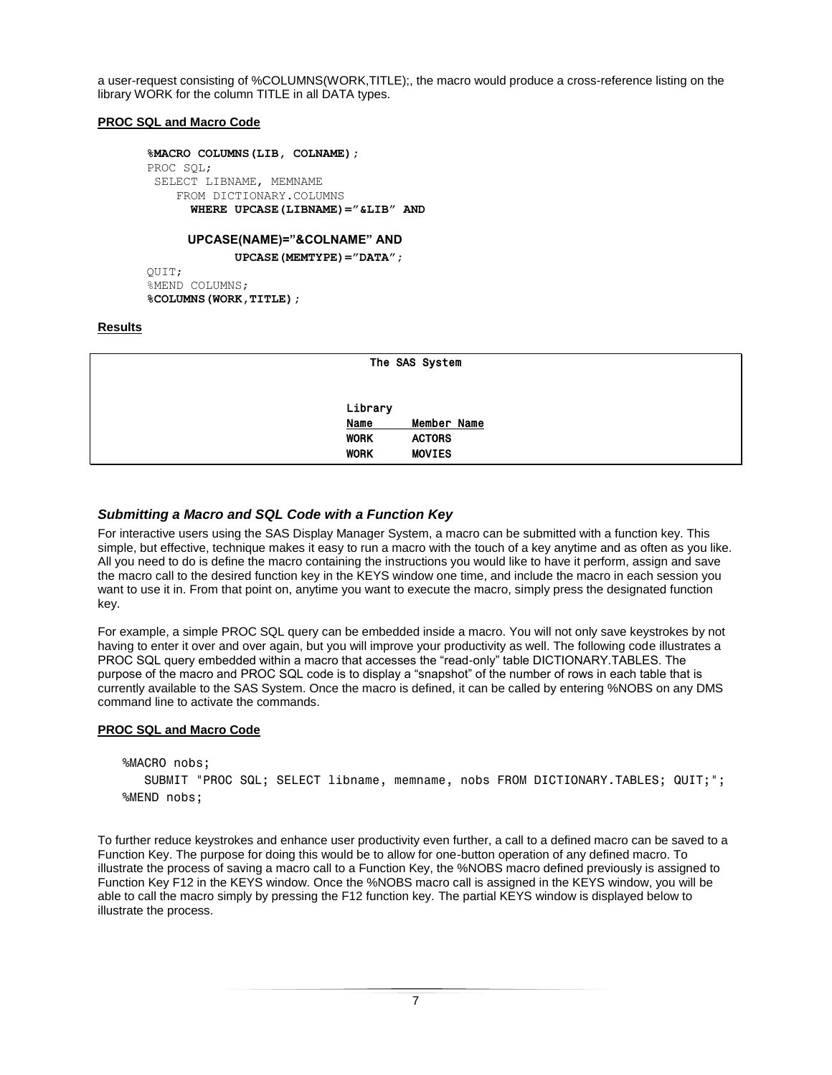a user-request consisting of %COLUMNS(WORK,TITLE);, the macro would produce a cross-reference listing on the library WORK for the column TITLE in all DATA types.

## **PROC SQL and Macro Code**

```
%MACRO COLUMNS(LIB, COLNAME);
PROC SQL;
SELECT LIBNAME, MEMNAME
    FROM DICTIONARY.COLUMNS
      WHERE UPCASE(LIBNAME)="&LIB" AND
```
#### **UPCASE(NAME)="&COLNAME" AND**

 **UPCASE(MEMTYPE)="DATA";**

QUIT; %MEND COLUMNS; **%COLUMNS(WORK,TITLE);**

# **Results**

|             | The SAS System |
|-------------|----------------|
| Library     |                |
| <b>Name</b> | Member Name    |
| <b>WORK</b> | <b>ACTORS</b>  |
| <b>WORK</b> | <b>MOVIES</b>  |

# *Submitting a Macro and SQL Code with a Function Key*

For interactive users using the SAS Display Manager System, a macro can be submitted with a function key. This simple, but effective, technique makes it easy to run a macro with the touch of a key anytime and as often as you like. All you need to do is define the macro containing the instructions you would like to have it perform, assign and save the macro call to the desired function key in the KEYS window one time, and include the macro in each session you want to use it in. From that point on, anytime you want to execute the macro, simply press the designated function key.

For example, a simple PROC SQL query can be embedded inside a macro. You will not only save keystrokes by not having to enter it over and over again, but you will improve your productivity as well. The following code illustrates a PROC SQL query embedded within a macro that accesses the "read-only" table DICTIONARY.TABLES. The purpose of the macro and PROC SQL code is to display a "snapshot" of the number of rows in each table that is currently available to the SAS System. Once the macro is defined, it can be called by entering %NOBS on any DMS command line to activate the commands.

#### **PROC SQL and Macro Code**

```
%MACRO nobs;
   SUBMIT "PROC SQL; SELECT libname, memname, nobs FROM DICTIONARY.TABLES; QUIT;";
%MEND nobs;
```
To further reduce keystrokes and enhance user productivity even further, a call to a defined macro can be saved to a Function Key. The purpose for doing this would be to allow for one-button operation of any defined macro. To illustrate the process of saving a macro call to a Function Key, the %NOBS macro defined previously is assigned to Function Key F12 in the KEYS window. Once the %NOBS macro call is assigned in the KEYS window, you will be able to call the macro simply by pressing the F12 function key. The partial KEYS window is displayed below to illustrate the process.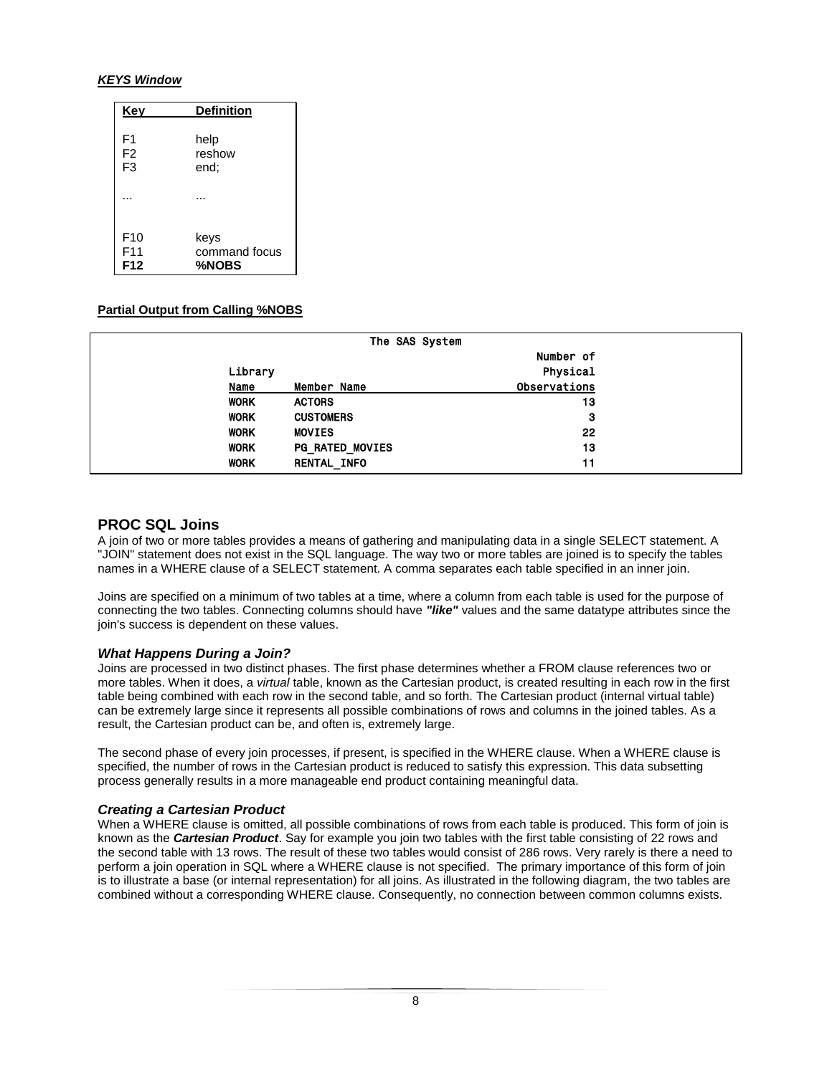## *KEYS Window*

| Key             | <b>Definition</b> |  |  |
|-----------------|-------------------|--|--|
| F1              | help              |  |  |
| F <sub>2</sub>  | reshow            |  |  |
| F <sub>3</sub>  | end;              |  |  |
|                 |                   |  |  |
| F <sub>10</sub> | keys              |  |  |
| F <sub>11</sub> | command focus     |  |  |
| F12             | %NOBS             |  |  |

# **Partial Output from Calling %NOBS**

|             | The SAS System         |              |  |  |
|-------------|------------------------|--------------|--|--|
|             |                        | Number of    |  |  |
| Library     |                        | Physical     |  |  |
| Name        | Member Name            | Observations |  |  |
| <b>WORK</b> | <b>ACTORS</b>          | 13           |  |  |
| <b>WORK</b> | <b>CUSTOMERS</b>       | 3            |  |  |
| <b>WORK</b> | <b>MOVIES</b>          | 22           |  |  |
| <b>WORK</b> | <b>PG_RATED_MOVIES</b> | 13           |  |  |
| <b>WORK</b> | <b>RENTAL INFO</b>     | 11           |  |  |

# **PROC SQL Joins**

A join of two or more tables provides a means of gathering and manipulating data in a single SELECT statement. A "JOIN" statement does not exist in the SQL language. The way two or more tables are joined is to specify the tables names in a WHERE clause of a SELECT statement. A comma separates each table specified in an inner join.

Joins are specified on a minimum of two tables at a time, where a column from each table is used for the purpose of connecting the two tables. Connecting columns should have *"like"* values and the same datatype attributes since the join's success is dependent on these values.

# *What Happens During a Join?*

Joins are processed in two distinct phases. The first phase determines whether a FROM clause references two or more tables. When it does, a *virtual* table, known as the Cartesian product, is created resulting in each row in the first table being combined with each row in the second table, and so forth. The Cartesian product (internal virtual table) can be extremely large since it represents all possible combinations of rows and columns in the joined tables. As a result, the Cartesian product can be, and often is, extremely large.

The second phase of every join processes, if present, is specified in the WHERE clause. When a WHERE clause is specified, the number of rows in the Cartesian product is reduced to satisfy this expression. This data subsetting process generally results in a more manageable end product containing meaningful data.

# *Creating a Cartesian Product*

When a WHERE clause is omitted, all possible combinations of rows from each table is produced. This form of join is known as the *Cartesian Product*. Say for example you join two tables with the first table consisting of 22 rows and the second table with 13 rows. The result of these two tables would consist of 286 rows. Very rarely is there a need to perform a join operation in SQL where a WHERE clause is not specified. The primary importance of this form of join is to illustrate a base (or internal representation) for all joins. As illustrated in the following diagram, the two tables are combined without a corresponding WHERE clause. Consequently, no connection between common columns exists.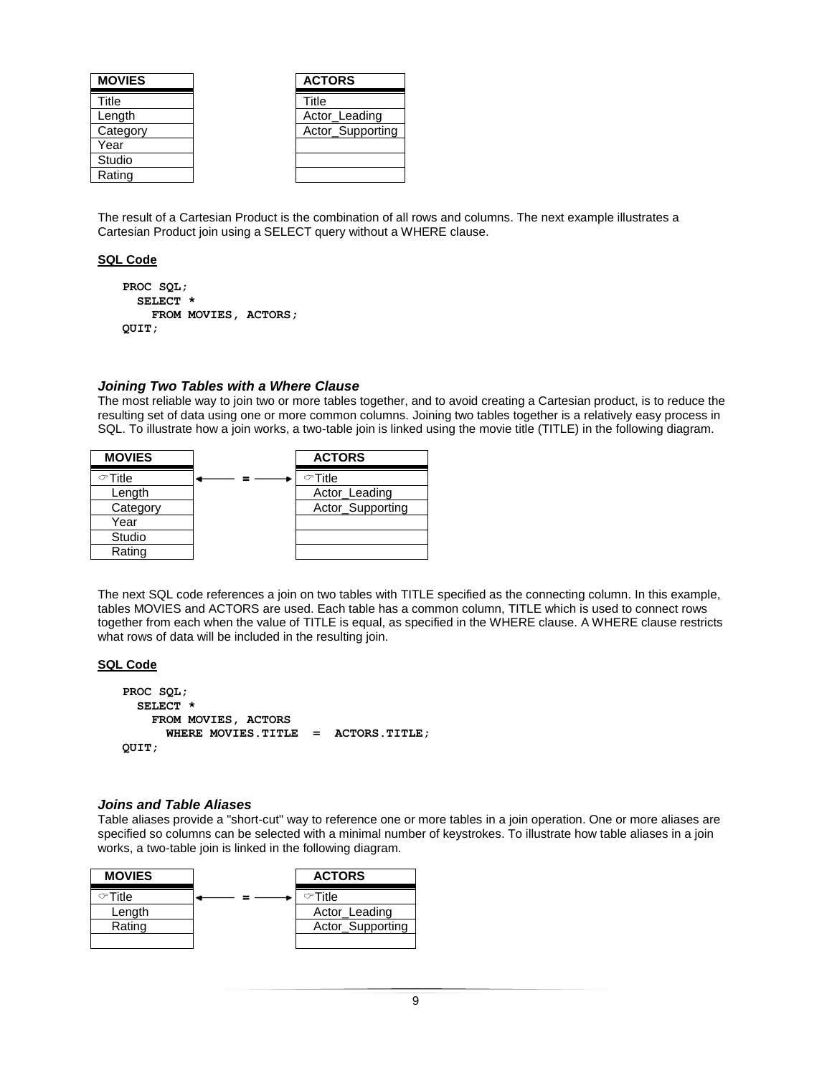| <b>MOVIES</b> | <b>ACTORS</b>    |
|---------------|------------------|
| Title         | Title            |
| Length        | Actor_Leading    |
| Category      | Actor_Supporting |
| Year          |                  |
| Studio        |                  |
| Rating        |                  |

The result of a Cartesian Product is the combination of all rows and columns. The next example illustrates a Cartesian Product join using a SELECT query without a WHERE clause.

#### **SQL Code**

```
PROC SQL;
   SELECT *
     FROM MOVIES, ACTORS;
QUIT;
```
#### *Joining Two Tables with a Where Clause*

The most reliable way to join two or more tables together, and to avoid creating a Cartesian product, is to reduce the resulting set of data using one or more common columns. Joining two tables together is a relatively easy process in SQL. To illustrate how a join works, a two-table join is linked using the movie title (TITLE) in the following diagram.



The next SQL code references a join on two tables with TITLE specified as the connecting column. In this example, tables MOVIES and ACTORS are used. Each table has a common column, TITLE which is used to connect rows together from each when the value of TITLE is equal, as specified in the WHERE clause. A WHERE clause restricts what rows of data will be included in the resulting join.

## **SQL Code**

```
PROC SQL;
   SELECT *
     FROM MOVIES, ACTORS
       WHERE MOVIES.TITLE = ACTORS.TITLE;
QUIT;
```
#### *Joins and Table Aliases*

Table aliases provide a "short-cut" way to reference one or more tables in a join operation. One or more aliases are specified so columns can be selected with a minimal number of keystrokes. To illustrate how table aliases in a join works, a two-table join is linked in the following diagram.

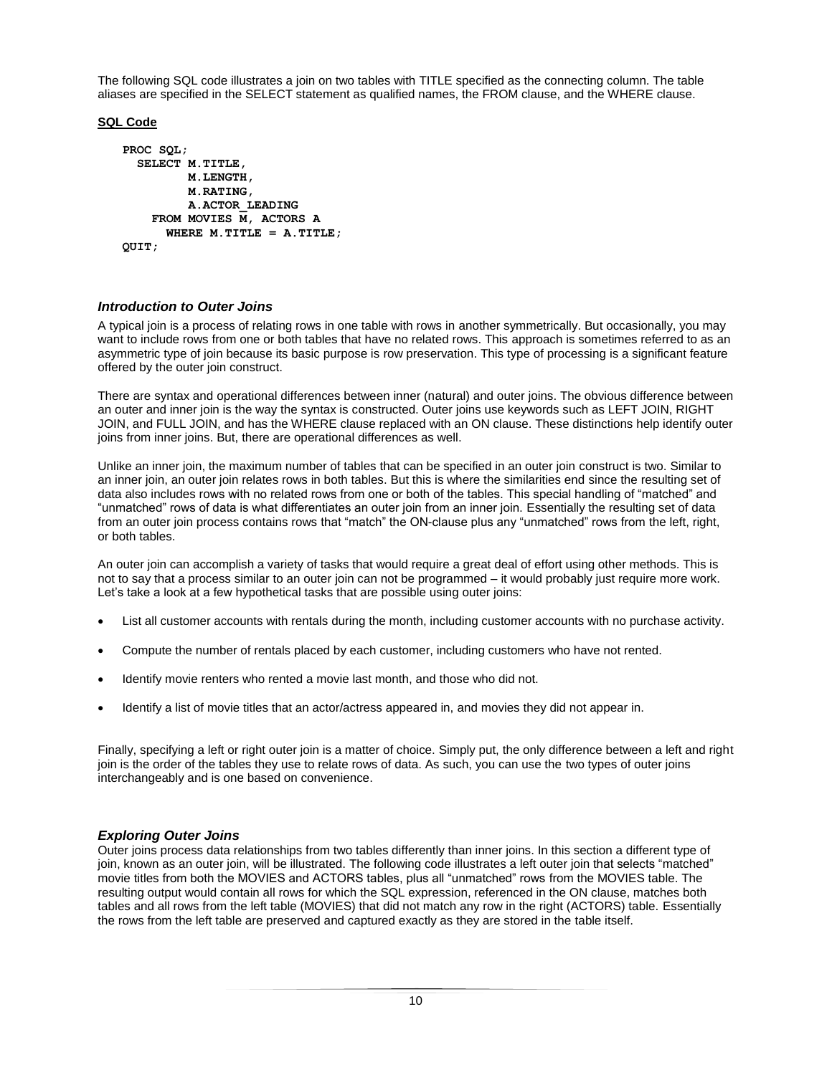The following SQL code illustrates a join on two tables with TITLE specified as the connecting column. The table aliases are specified in the SELECT statement as qualified names, the FROM clause, and the WHERE clause.

# **SQL Code**

```
PROC SQL;
   SELECT M.TITLE,
          M.LENGTH,
          M.RATING,
          A.ACTOR_LEADING
     FROM MOVIES M, ACTORS A
       WHERE M.TITLE = A.TITLE;
QUIT;
```
# *Introduction to Outer Joins*

A typical join is a process of relating rows in one table with rows in another symmetrically. But occasionally, you may want to include rows from one or both tables that have no related rows. This approach is sometimes referred to as an asymmetric type of join because its basic purpose is row preservation. This type of processing is a significant feature offered by the outer join construct.

There are syntax and operational differences between inner (natural) and outer joins. The obvious difference between an outer and inner join is the way the syntax is constructed. Outer joins use keywords such as LEFT JOIN, RIGHT JOIN, and FULL JOIN, and has the WHERE clause replaced with an ON clause. These distinctions help identify outer joins from inner joins. But, there are operational differences as well.

Unlike an inner join, the maximum number of tables that can be specified in an outer join construct is two. Similar to an inner join, an outer join relates rows in both tables. But this is where the similarities end since the resulting set of data also includes rows with no related rows from one or both of the tables. This special handling of "matched" and "unmatched" rows of data is what differentiates an outer join from an inner join. Essentially the resulting set of data from an outer join process contains rows that "match" the ON-clause plus any "unmatched" rows from the left, right, or both tables.

An outer join can accomplish a variety of tasks that would require a great deal of effort using other methods. This is not to say that a process similar to an outer join can not be programmed – it would probably just require more work. Let's take a look at a few hypothetical tasks that are possible using outer joins:

- List all customer accounts with rentals during the month, including customer accounts with no purchase activity.
- Compute the number of rentals placed by each customer, including customers who have not rented.
- Identify movie renters who rented a movie last month, and those who did not.
- Identify a list of movie titles that an actor/actress appeared in, and movies they did not appear in.

Finally, specifying a left or right outer join is a matter of choice. Simply put, the only difference between a left and right join is the order of the tables they use to relate rows of data. As such, you can use the two types of outer joins interchangeably and is one based on convenience.

# *Exploring Outer Joins*

Outer joins process data relationships from two tables differently than inner joins. In this section a different type of join, known as an outer join, will be illustrated. The following code illustrates a left outer join that selects "matched" movie titles from both the MOVIES and ACTORS tables, plus all "unmatched" rows from the MOVIES table. The resulting output would contain all rows for which the SQL expression, referenced in the ON clause, matches both tables and all rows from the left table (MOVIES) that did not match any row in the right (ACTORS) table. Essentially the rows from the left table are preserved and captured exactly as they are stored in the table itself.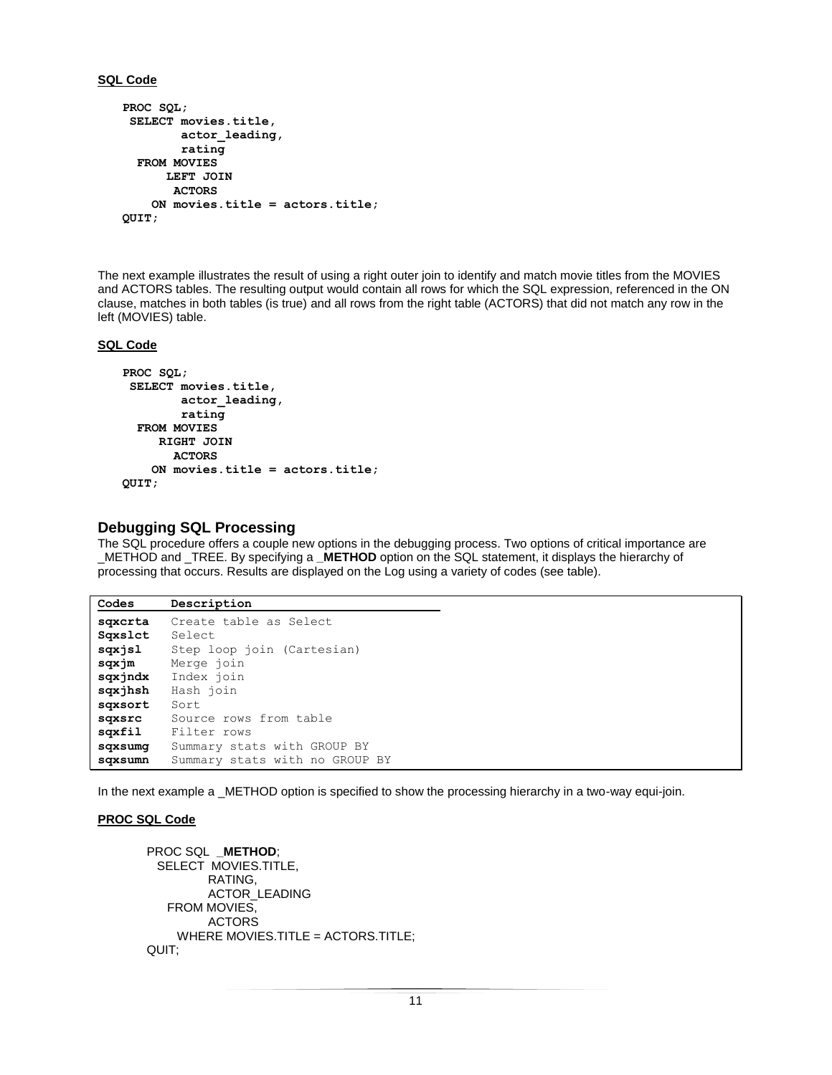#### **SQL Code**

```
PROC SQL;
 SELECT movies.title,
         actor_leading,
         rating
   FROM MOVIES
       LEFT JOIN
        ACTORS
     ON movies.title = actors.title;
QUIT;
```
The next example illustrates the result of using a right outer join to identify and match movie titles from the MOVIES and ACTORS tables. The resulting output would contain all rows for which the SQL expression, referenced in the ON clause, matches in both tables (is true) and all rows from the right table (ACTORS) that did not match any row in the left (MOVIES) table.

#### **SQL Code**

```
PROC SQL;
 SELECT movies.title,
         actor_leading,
         rating
   FROM MOVIES
      RIGHT JOIN
        ACTORS
     ON movies.title = actors.title;
QUIT;
```
# **Debugging SQL Processing**

The SQL procedure offers a couple new options in the debugging process. Two options of critical importance are \_METHOD and \_TREE. By specifying a **\_METHOD** option on the SQL statement, it displays the hierarchy of processing that occurs. Results are displayed on the Log using a variety of codes (see table).

```
Codes Description
sqxcrta Create table as Select
Sqxslct Select
sqxjsl Step loop join (Cartesian)
sqxjm Merge join
sqxjndx Index join
sqxjhsh Hash join
sqxsort Sort
sqxsrc Source rows from table
sqxfil Filter rows
sqxsumg Summary stats with GROUP BY
sqxsumn Summary stats with no GROUP BY
```
In the next example a \_METHOD option is specified to show the processing hierarchy in a two-way equi-join.

#### **PROC SQL Code**

```
PROC SQL _METHOD;
  SELECT MOVIES.TITLE,
          RATING,
          ACTOR_LEADING
    FROM MOVIES,
          ACTORS
     WHERE MOVIES.TITLE = ACTORS.TITLE;
QUIT;
```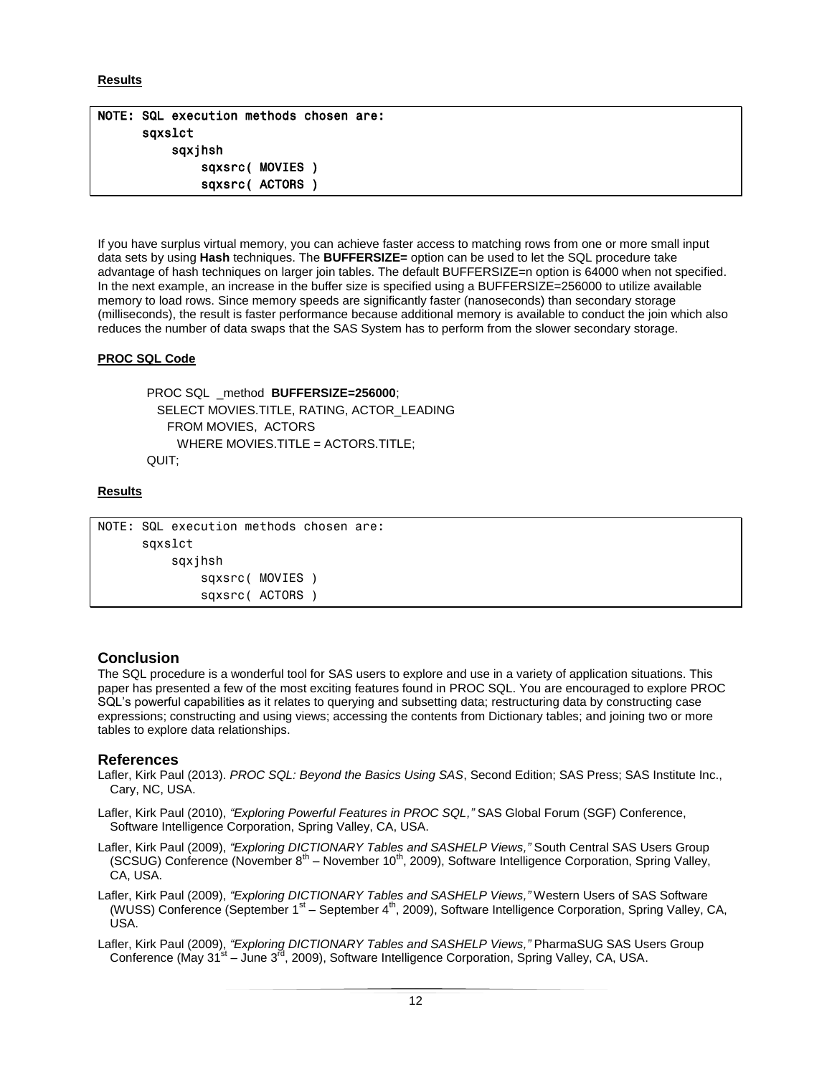## **Results**

# NOTE: SQL execution methods chosen are: sqxslct sqxjhsh sqxsrc( MOVIES ) sqxsrc( ACTORS )

If you have surplus virtual memory, you can achieve faster access to matching rows from one or more small input data sets by using **Hash** techniques. The **BUFFERSIZE=** option can be used to let the SQL procedure take advantage of hash techniques on larger join tables. The default BUFFERSIZE=n option is 64000 when not specified. In the next example, an increase in the buffer size is specified using a BUFFERSIZE=256000 to utilize available memory to load rows. Since memory speeds are significantly faster (nanoseconds) than secondary storage (milliseconds), the result is faster performance because additional memory is available to conduct the join which also reduces the number of data swaps that the SAS System has to perform from the slower secondary storage.

# **PROC SQL Code**

PROC SQL \_method **BUFFERSIZE=256000**; SELECT MOVIES.TITLE, RATING, ACTOR\_LEADING FROM MOVIES, ACTORS WHERE MOVIES.TITLE = ACTORS.TITLE: QUIT;

# **Results**

```
NOTE: SQL execution methods chosen are:
       sqxslct
           sqxjhsh
                sqxsrc( MOVIES )
                sqxsrc( ACTORS )
```
# **Conclusion**

The SQL procedure is a wonderful tool for SAS users to explore and use in a variety of application situations. This paper has presented a few of the most exciting features found in PROC SQL. You are encouraged to explore PROC SQL's powerful capabilities as it relates to querying and subsetting data; restructuring data by constructing case expressions; constructing and using views; accessing the contents from Dictionary tables; and joining two or more tables to explore data relationships.

# **References**

- Lafler, Kirk Paul (2013). *PROC SQL: Beyond the Basics Using SAS*, Second Edition; SAS Press; SAS Institute Inc., Cary, NC, USA.
- Lafler, Kirk Paul (2010), *"Exploring Powerful Features in PROC SQL,"* SAS Global Forum (SGF) Conference, Software Intelligence Corporation, Spring Valley, CA, USA.
- Lafler, Kirk Paul (2009), *"Exploring DICTIONARY Tables and SASHELP Views,"* South Central SAS Users Group (SCSUG) Conference (November  $8<sup>th</sup>$  – November 10<sup>th</sup>, 2009), Software Intelligence Corporation, Spring Valley, CA, USA.
- Lafler, Kirk Paul (2009), *"Exploring DICTIONARY Tables and SASHELP Views,"* Western Users of SAS Software (WUSS) Conference (September 1<sup>st</sup> – September 4<sup>th</sup>, 2009), Software Intelligence Corporation, Spring Valley, CA, USA.
- Lafler, Kirk Paul (2009), *"Exploring DICTIONARY Tables and SASHELP Views,"* PharmaSUG SAS Users Group Conference (May 31<sup>st</sup> – June 3<sup>rd</sup>, 2009), Software Intelligence Corporation, Spring Valley, CA, USA.